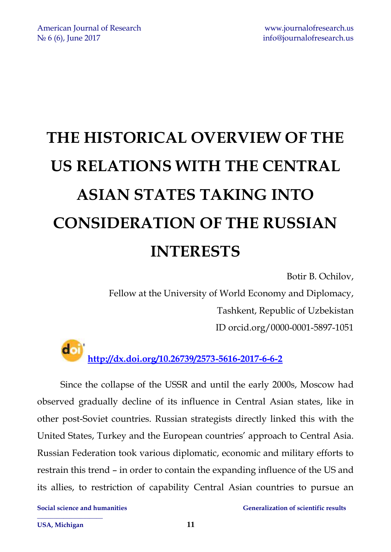# **THE HISTORICAL OVERVIEW OF THE US RELATIONS WITH THE CENTRAL ASIAN STATES TAKING INTO CONSIDERATION OF THE RUSSIAN INTERESTS**

Botir B. Ochilov,

Fellow at the University of World Economy and Diplomacy, Tashkent, Republic of Uzbekistan ID orcid.org/0000-0001-5897-1051

doi **<http://dx.doi.org/10.26739/2573-5616-2017-6-6-2>**

Since the collapse of the USSR and until the early 2000s, Moscow had observed gradually decline of its influence in Central Asian states, like in other post-Soviet countries. Russian strategists directly linked this with the United States, Turkey and the European countries' approach to Central Asia. Russian Federation took various diplomatic, economic and military efforts to restrain this trend – in order to contain the expanding influence of the US and its allies, to restriction of capability Central Asian countries to pursue an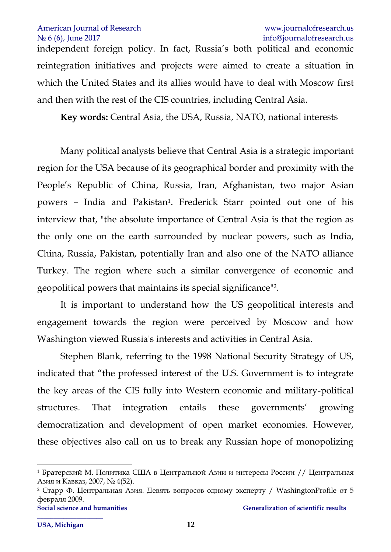independent foreign policy. In fact, Russia's both political and economic reintegration initiatives and projects were aimed to create a situation in which the United States and its allies would have to deal with Moscow first and then with the rest of the CIS countries, including Central Asia.

**Key words:** Central Asia, the USA, Russia, NATO, national interests

Many political analysts believe that Central Asia is a strategic important region for the USA because of its geographical border and proximity with the People's Republic of China, Russia, Iran, Afghanistan, two major Asian powers - India and Pakistan<sup>1</sup>. Frederick Starr pointed out one of his interview that, "the absolute importance of Central Asia is that the region as the only one on the earth surrounded by nuclear powers, such as India, China, Russia, Pakistan, potentially Iran and also one of the NATO alliance Turkey. The region where such a similar convergence of economic and geopolitical powers that maintains its special significance" 2 .

It is important to understand how the US geopolitical interests and engagement towards the region were perceived by Moscow and how Washington viewed Russia's interests and activities in Central Asia.

Stephen Blank, referring to the 1998 National Security Strategy of US, indicated that "the professed interest of the U.S. Government is to integrate the key areas of the CIS fully into Western economic and military-political structures. That integration entails these governments' growing democratization and development of open market economies. However, these objectives also call on us to break any Russian hope of monopolizing

<sup>1</sup> Братерский М. Политика США в Центральной Азии и интересы России // Центральная Азия и Кавказ, 2007, № 4(52).

<sup>2</sup> Старр Ф. Центральная Азия. Девять вопросов одному эксперту / WashingtonProfile от 5 февраля 2009.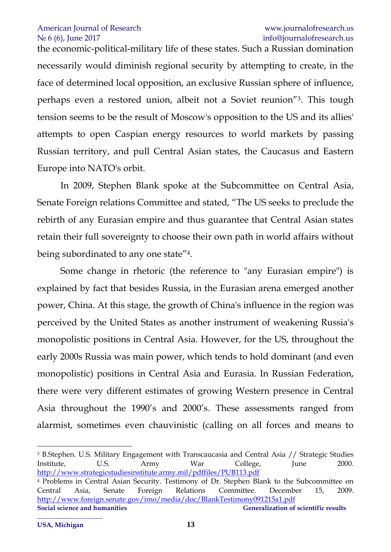the economic-political-military life of these states. Such a Russian domination necessarily would diminish regional security by attempting to create, in the face of determined local opposition, an exclusive Russian sphere of influence, perhaps even a restored union, albeit not a Soviet reunion"<sup>3</sup> . This tough tension seems to be the result of Moscow's opposition to the US and its allies' attempts to open Caspian energy resources to world markets by passing Russian territory, and pull Central Asian states, the Caucasus and Eastern Europe into NATO's orbit.

In 2009, Stephen Blank spoke at the Subcommittee on Central Asia, Senate Foreign relations Committee and stated, "The US seeks to preclude the rebirth of any Eurasian empire and thus guarantee that Central Asian states retain their full sovereignty to choose their own path in world affairs without being subordinated to any one state"<sup>4</sup> .

Some change in rhetoric (the reference to "any Eurasian empire") is explained by fact that besides Russia, in the Eurasian arena emerged another power, China. At this stage, the growth of China's influence in the region was perceived by the United States as another instrument of weakening Russia's monopolistic positions in Central Asia. However, for the US, throughout the early 2000s Russia was main power, which tends to hold dominant (and even monopolistic) positions in Central Asia and Eurasia. In Russian Federation, there were very different estimates of growing Western presence in Central Asia throughout the 1990's and 2000's. These assessments ranged from alarmist, sometimes even chauvinistic (calling on all forces and means to

**Social science and humanities Generalization of scientific results** <sup>3</sup> B.Stephen. U.S. Military Engagement with Transcaucasia and Central Asia // Strategic Studies Institute, U.S. Army War College, June 2000. <http://www.strategicstudiesinstitute.army.mil/pdffiles/PUB113.pdf> <sup>4</sup> Problems in Central Asian Security. Testimony of Dr. Stephen Blank to the Subcommittee on Central Asia, Senate Foreign Relations Committee. December 15, 2009. <http://www.foreign.senate.gov/imo/media/doc/BlankTestimony091215a1.pdf>

1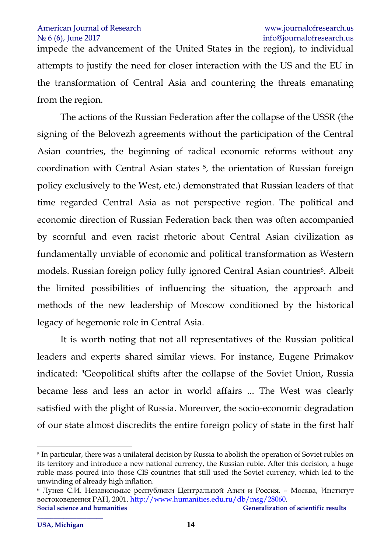impede the advancement of the United States in the region), to individual attempts to justify the need for closer interaction with the US and the EU in the transformation of Central Asia and countering the threats emanating from the region.

The actions of the Russian Federation after the collapse of the USSR (the signing of the Belovezh agreements without the participation of the Central Asian countries, the beginning of radical economic reforms without any coordination with Central Asian states <sup>5</sup> , the orientation of Russian foreign policy exclusively to the West, etc.) demonstrated that Russian leaders of that time regarded Central Asia as not perspective region. The political and economic direction of Russian Federation back then was often accompanied by scornful and even racist rhetoric about Central Asian civilization as fundamentally unviable of economic and political transformation as Western models. Russian foreign policy fully ignored Central Asian countries<sup>6</sup>. Albeit the limited possibilities of influencing the situation, the approach and methods of the new leadership of Moscow conditioned by the historical legacy of hegemonic role in Central Asia.

It is worth noting that not all representatives of the Russian political leaders and experts shared similar views. For instance, Eugene Primakov indicated: "Geopolitical shifts after the collapse of the Soviet Union, Russia became less and less an actor in world affairs ... The West was clearly satisfied with the plight of Russia. Moreover, the socio-economic degradation of our state almost discredits the entire foreign policy of state in the first half

1

<sup>5</sup> In particular, there was a unilateral decision by Russia to abolish the operation of Soviet rubles on its territory and introduce a new national currency, the Russian ruble. After this decision, a huge ruble mass poured into those CIS countries that still used the Soviet currency, which led to the unwinding of already high inflation.

Social science and humanities Generalization of scientific results <sup>6</sup> Лунев С.И. Независимые республики Центральной Азии и Россия. – Москва, Институт востоковедения РАН, 2001. [http://www.humanities.edu.ru/db/msg/28060.](http://www.humanities.edu.ru/db/msg/28060)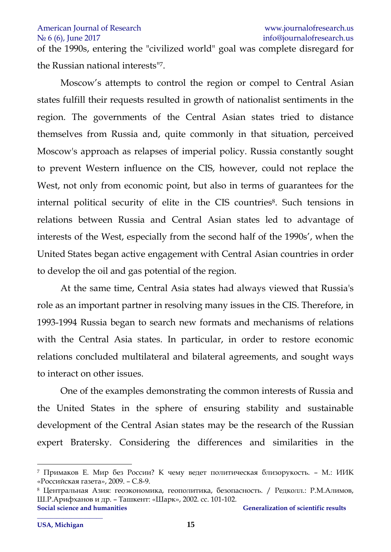## American Journal of Research **WAMER** www.[journalofresearch](http://www.journalofresearch.us/).us

## N<sup>o</sup> 6 (6), June 2017 info@journalofresearch.us

of the 1990s, entering the "civilized world" goal was complete disregard for the Russian national interests" 7 .

Moscow's attempts to control the region or compel to Central Asian states fulfill their requests resulted in growth of nationalist sentiments in the region. The governments of the Central Asian states tried to distance themselves from Russia and, quite commonly in that situation, perceived Moscow's approach as relapses of imperial policy. Russia constantly sought to prevent Western influence on the CIS, however, could not replace the West, not only from economic point, but also in terms of guarantees for the internal political security of elite in the CIS countries<sup>8</sup>. Such tensions in relations between Russia and Central Asian states led to advantage of interests of the West, especially from the second half of the 1990s', when the United States began active engagement with Central Asian countries in order to develop the oil and gas potential of the region.

At the same time, Central Asia states had always viewed that Russia's role as an important partner in resolving many issues in the CIS. Therefore, in 1993-1994 Russia began to search new formats and mechanisms of relations with the Central Asia states. In particular, in order to restore economic relations concluded multilateral and bilateral agreements, and sought ways to interact on other issues.

One of the examples demonstrating the common interests of Russia and the United States in the sphere of ensuring stability and sustainable development of the Central Asian states may be the research of the Russian expert Bratersky. Considering the differences and similarities in the

1

<sup>7</sup> Примаков Е. Мир без России? К чему ведет политическая близорукость. – М.: ИИК «Российская газета», 2009. – С.8-9.

**Social science and humanities Social scientific results** Generalization of scientific results <sup>8</sup> Центральная Азия: геоэкономика, геополитика, безопасность. / Редколл.: Р.М.Алимов, Ш.Р.Арифханов и др. – Ташкент: «Шарк», 2002. сс. 101-102.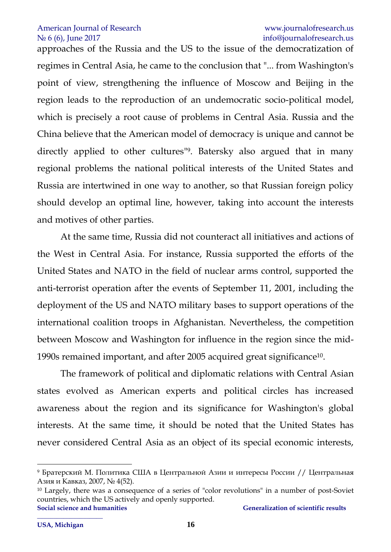approaches of the Russia and the US to the issue of the democratization of regimes in Central Asia, he came to the conclusion that "... from Washington's point of view, strengthening the influence of Moscow and Beijing in the region leads to the reproduction of an undemocratic socio-political model, which is precisely a root cause of problems in Central Asia. Russia and the China believe that the American model of democracy is unique and cannot be directly applied to other cultures" 9 . Batersky also argued that in many regional problems the national political interests of the United States and Russia are intertwined in one way to another, so that Russian foreign policy should develop an optimal line, however, taking into account the interests and motives of other parties.

At the same time, Russia did not counteract all initiatives and actions of the West in Central Asia. For instance, Russia supported the efforts of the United States and NATO in the field of nuclear arms control, supported the anti-terrorist operation after the events of September 11, 2001, including the deployment of the US and NATO military bases to support operations of the international coalition troops in Afghanistan. Nevertheless, the competition between Moscow and Washington for influence in the region since the mid-1990s remained important, and after 2005 acquired great significance 10 .

The framework of political and diplomatic relations with Central Asian states evolved as American experts and political circles has increased awareness about the region and its significance for Washington's global interests. At the same time, it should be noted that the United States has never considered Central Asia as an object of its special economic interests,

<sup>9</sup> Братерский М. Политика США в Центральной Азии и интересы России // Центральная Азия и Кавказ, 2007, № 4(52).

**Social science and humanities Generalization of scientific results** <sup>10</sup> Largely, there was a consequence of a series of "color revolutions" in a number of post-Soviet countries, which the US actively and openly supported.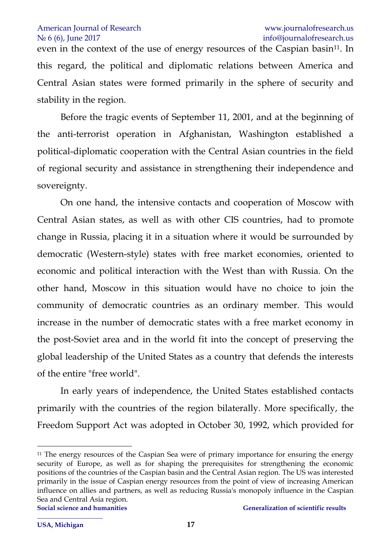even in the context of the use of energy resources of the Caspian basin<sup>11</sup>. In this regard, the political and diplomatic relations between America and Central Asian states were formed primarily in the sphere of security and stability in the region.

Before the tragic events of September 11, 2001, and at the beginning of the anti-terrorist operation in Afghanistan, Washington established a political-diplomatic cooperation with the Central Asian countries in the field of regional security and assistance in strengthening their independence and sovereignty.

On one hand, the intensive contacts and cooperation of Moscow with Central Asian states, as well as with other CIS countries, had to promote change in Russia, placing it in a situation where it would be surrounded by democratic (Western-style) states with free market economies, oriented to economic and political interaction with the West than with Russia. On the other hand, Moscow in this situation would have no choice to join the community of democratic countries as an ordinary member. This would increase in the number of democratic states with a free market economy in the post-Soviet area and in the world fit into the concept of preserving the global leadership of the United States as a country that defends the interests of the entire "free world".

In early years of independence, the United States established contacts primarily with the countries of the region bilaterally. More specifically, the Freedom Support Act was adopted in October 30, 1992, which provided for

**Social science and humanities and incrementally consider the Generalization of scientific results** 1 <sup>11</sup> The energy resources of the Caspian Sea were of primary importance for ensuring the energy security of Europe, as well as for shaping the prerequisites for strengthening the economic positions of the countries of the Caspian basin and the Central Asian region. The US was interested primarily in the issue of Caspian energy resources from the point of view of increasing American influence on allies and partners, as well as reducing Russia's monopoly influence in the Caspian Sea and Central Asia region.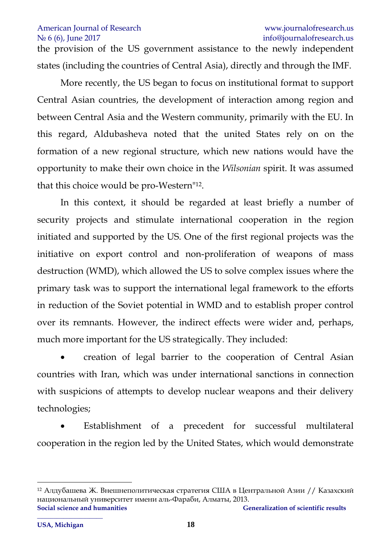the provision of the US government assistance to the newly independent states (including the countries of Central Asia), directly and through the IMF.

More recently, the US began to focus on institutional format to support Central Asian countries, the development of interaction among region and between Central Asia and the Western community, primarily with the EU. In this regard, Aldubasheva noted that the united States rely on on the formation of a new regional structure, which new nations would have the opportunity to make their own choice in the *Wilsonian* spirit. It was assumed that this choice would be pro-Western" 12 .

In this context, it should be regarded at least briefly a number of security projects and stimulate international cooperation in the region initiated and supported by the US. One of the first regional projects was the initiative on export control and non-proliferation of weapons of mass destruction (WMD), which allowed the US to solve complex issues where the primary task was to support the international legal framework to the efforts in reduction of the Soviet potential in WMD and to establish proper control over its remnants. However, the indirect effects were wider and, perhaps, much more important for the US strategically. They included:

 creation of legal barrier to the cooperation of Central Asian countries with Iran, which was under international sanctions in connection with suspicions of attempts to develop nuclear weapons and their delivery technologies;

 Establishment of a precedent for successful multilateral cooperation in the region led by the United States, which would demonstrate

**Social science and humanities Generalization of scientific results \_\_\_\_\_\_\_\_\_\_\_\_\_\_\_\_\_\_\_\_**  <sup>12</sup> Алдубашева Ж. Внешнеполитическая стратегия США в Центральной Азии // Казахский национальный университет имени аль-Фараби, Алматы, 2013.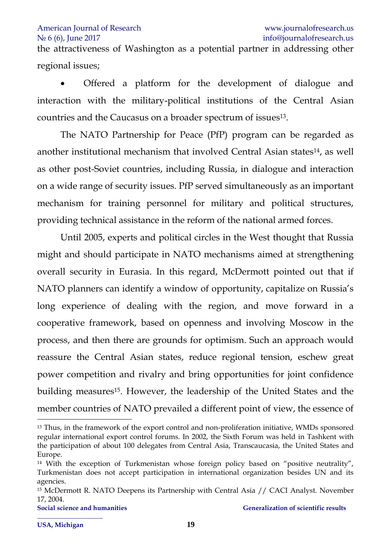the attractiveness of Washington as a potential partner in addressing other regional issues;

 Offered a platform for the development of dialogue and interaction with the military-political institutions of the Central Asian countries and the Caucasus on a broader spectrum of issues<sup>13</sup>.

The NATO Partnership for Peace (PfP) program can be regarded as another institutional mechanism that involved Central Asian states<sup>14</sup>, as well as other post-Soviet countries, including Russia, in dialogue and interaction on a wide range of security issues. PfP served simultaneously as an important mechanism for training personnel for military and political structures, providing technical assistance in the reform of the national armed forces.

Until 2005, experts and political circles in the West thought that Russia might and should participate in NATO mechanisms aimed at strengthening overall security in Eurasia. In this regard, McDermott pointed out that if NATO planners can identify a window of opportunity, capitalize on Russia's long experience of dealing with the region, and move forward in a cooperative framework, based on openness and involving Moscow in the process, and then there are grounds for optimism. Such an approach would reassure the Central Asian states, reduce regional tension, eschew great power competition and rivalry and bring opportunities for joint confidence building measures<sup>15</sup>. However, the leadership of the United States and the member countries of NATO prevailed a different point of view, the essence of

<sup>&</sup>lt;sup>13</sup> Thus, in the framework of the export control and non-proliferation initiative, WMDs sponsored regular international export control forums. In 2002, the Sixth Forum was held in Tashkent with the participation of about 100 delegates from Central Asia, Transcaucasia, the United States and Europe.

<sup>&</sup>lt;sup>14</sup> With the exception of Turkmenistan whose foreign policy based on "positive neutrality", Turkmenistan does not accept participation in international organization besides UN and its agencies.

<sup>&</sup>lt;sup>15</sup> McDermott R. NATO Deepens its Partnership with Central Asia // CACI Analyst. November 17, 2004.

**\_\_\_\_\_\_\_\_\_\_\_\_\_\_\_\_\_\_\_\_**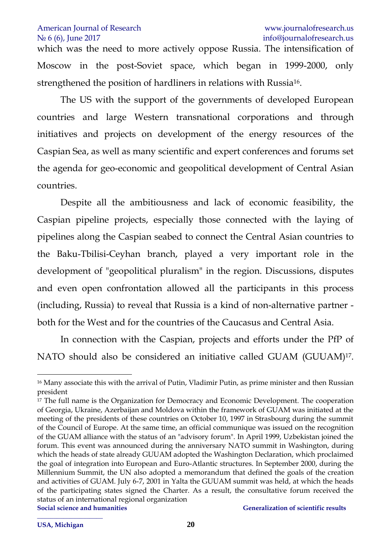## American Journal of Research **WAMER** www.[journalofresearch](http://www.journalofresearch.us/).us

which was the need to more actively oppose Russia. The intensification of Moscow in the post-Soviet space, which began in 1999-2000, only strengthened the position of hardliners in relations with Russia<sup>16</sup>.

The US with the support of the governments of developed European countries and large Western transnational corporations and through initiatives and projects on development of the energy resources of the Caspian Sea, as well as many scientific and expert conferences and forums set the agenda for geo-economic and geopolitical development of Central Asian countries.

Despite all the ambitiousness and lack of economic feasibility, the Caspian pipeline projects, especially those connected with the laying of pipelines along the Caspian seabed to connect the Central Asian countries to the Baku-Tbilisi-Ceyhan branch, played a very important role in the development of "geopolitical pluralism" in the region. Discussions, disputes and even open confrontation allowed all the participants in this process (including, Russia) to reveal that Russia is a kind of non-alternative partner both for the West and for the countries of the Caucasus and Central Asia.

In connection with the Caspian, projects and efforts under the PfP of NATO should also be considered an initiative called GUAM (GUUAM)<sup>17</sup> .

1

<sup>16</sup> Many associate this with the arrival of Putin, Vladimir Putin, as prime minister and then Russian president

**Social science and humanities and incrementally consider the Generalization of scientific results** <sup>17</sup> The full name is the Organization for Democracy and Economic Development. The cooperation of Georgia, Ukraine, Azerbaijan and Moldova within the framework of GUAM was initiated at the meeting of the presidents of these countries on October 10, 1997 in Strasbourg during the summit of the Council of Europe. At the same time, an official communique was issued on the recognition of the GUAM alliance with the status of an "advisory forum". In April 1999, Uzbekistan joined the forum. This event was announced during the anniversary NATO summit in Washington, during which the heads of state already GUUAM adopted the Washington Declaration, which proclaimed the goal of integration into European and Euro-Atlantic structures. In September 2000, during the Millennium Summit, the UN also adopted a memorandum that defined the goals of the creation and activities of GUAM. July 6-7, 2001 in Yalta the GUUAM summit was held, at which the heads of the participating states signed the Charter. As a result, the consultative forum received the status of an international regional organization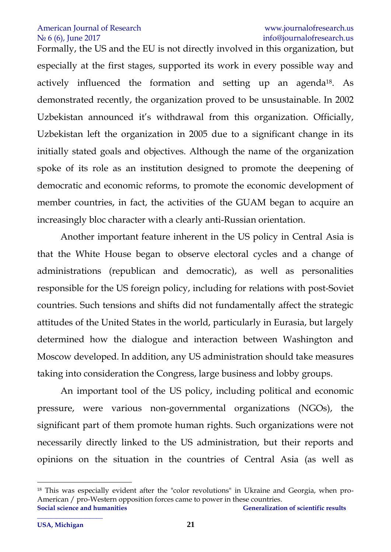Formally, the US and the EU is not directly involved in this organization, but especially at the first stages, supported its work in every possible way and actively influenced the formation and setting up an agenda<sup>18</sup>. As demonstrated recently, the organization proved to be unsustainable. In 2002 Uzbekistan announced it's withdrawal from this organization. Officially, Uzbekistan left the organization in 2005 due to a significant change in its initially stated goals and objectives. Although the name of the organization spoke of its role as an institution designed to promote the deepening of democratic and economic reforms, to promote the economic development of member countries, in fact, the activities of the GUAM began to acquire an increasingly bloc character with a clearly anti-Russian orientation.

Another important feature inherent in the US policy in Central Asia is that the White House began to observe electoral cycles and a change of administrations (republican and democratic), as well as personalities responsible for the US foreign policy, including for relations with post-Soviet countries. Such tensions and shifts did not fundamentally affect the strategic attitudes of the United States in the world, particularly in Eurasia, but largely determined how the dialogue and interaction between Washington and Moscow developed. In addition, any US administration should take measures taking into consideration the Congress, large business and lobby groups.

An important tool of the US policy, including political and economic pressure, were various non-governmental organizations (NGOs), the significant part of them promote human rights. Such organizations were not necessarily directly linked to the US administration, but their reports and opinions on the situation in the countries of Central Asia (as well as

1

Social science and humanities Generalization of scientific results <sup>18</sup> This was especially evident after the "color revolutions" in Ukraine and Georgia, when pro-American / pro-Western opposition forces came to power in these countries.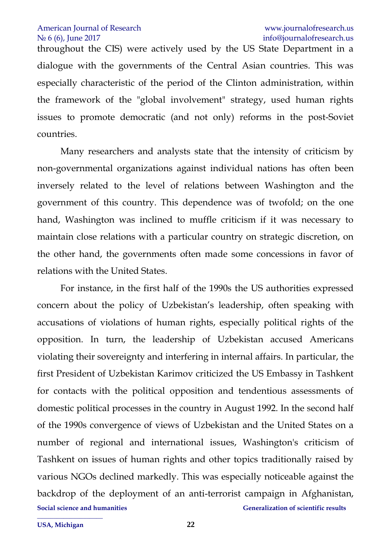throughout the CIS) were actively used by the US State Department in a dialogue with the governments of the Central Asian countries. This was especially characteristic of the period of the Clinton administration, within the framework of the "global involvement" strategy, used human rights issues to promote democratic (and not only) reforms in the post-Soviet countries.

Many researchers and analysts state that the intensity of criticism by non-governmental organizations against individual nations has often been inversely related to the level of relations between Washington and the government of this country. This dependence was of twofold; on the one hand, Washington was inclined to muffle criticism if it was necessary to maintain close relations with a particular country on strategic discretion, on the other hand, the governments often made some concessions in favor of relations with the United States.

**Social science and humanities Generalization of scientific results** For instance, in the first half of the 1990s the US authorities expressed concern about the policy of Uzbekistan's leadership, often speaking with accusations of violations of human rights, especially political rights of the opposition. In turn, the leadership of Uzbekistan accused Americans violating their sovereignty and interfering in internal affairs. In particular, the first President of Uzbekistan Karimov criticized the US Embassy in Tashkent for contacts with the political opposition and tendentious assessments of domestic political processes in the country in August 1992. In the second half of the 1990s convergence of views of Uzbekistan and the United States on a number of regional and international issues, Washington's criticism of Tashkent on issues of human rights and other topics traditionally raised by various NGOs declined markedly. This was especially noticeable against the backdrop of the deployment of an anti-terrorist campaign in Afghanistan,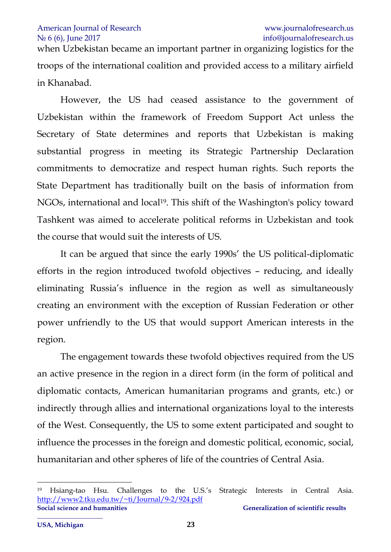when Uzbekistan became an important partner in organizing logistics for the troops of the international coalition and provided access to a military airfield in Khanabad.

However, the US had ceased assistance to the government of Uzbekistan within the framework of Freedom Support Act unless the Secretary of State determines and reports that Uzbekistan is making substantial progress in meeting its Strategic Partnership Declaration commitments to democratize and respect human rights. Such reports the State Department has traditionally built on the basis of information from NGOs, international and local<sup>19</sup>. This shift of the Washington's policy toward Tashkent was aimed to accelerate political reforms in Uzbekistan and took the course that would suit the interests of US.

It can be argued that since the early 1990s' the US political-diplomatic efforts in the region introduced twofold objectives – reducing, and ideally eliminating Russia's influence in the region as well as simultaneously creating an environment with the exception of Russian Federation or other power unfriendly to the US that would support American interests in the region.

The engagement towards these twofold objectives required from the US an active presence in the region in a direct form (in the form of political and diplomatic contacts, American humanitarian programs and grants, etc.) or indirectly through allies and international organizations loyal to the interests of the West. Consequently, the US to some extent participated and sought to influence the processes in the foreign and domestic political, economic, social, humanitarian and other spheres of life of the countries of Central Asia.

1

**Social science and humanities Generalization of scientific results** <sup>19</sup> Hsiang-tao Hsu. Challenges to the U.S.'s Strategic Interests in Central Asia. <http://www2.tku.edu.tw/~ti/Journal/9-2/924.pdf>